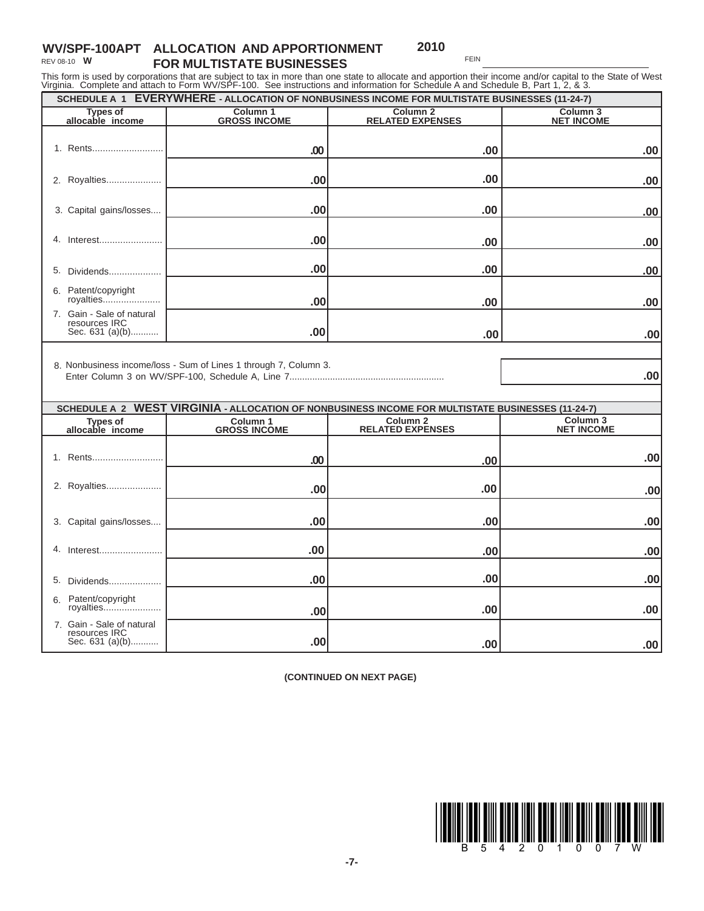## **WV/SPF-100APT ALLOCATION AND APPORTIONMENT FOR MULTISTATE BUSINESSES 2010** REV 08-10 **W**

FEIN

This form is used by corporations that are subject to tax in more than one state to allocate and apportion their income and/or capital to the State of West<br>Virginia. Complete and attach to Form WV/SPF-100. See instructions

| virginia. Compione and anability form viveor free. Oce included its and imprimation for Concauto A and Concauto D, Fart H, Z, & O.<br>SCHEDULE A 1 EVERYWHERE - ALLOCATION OF NONBUSINESS INCOME FOR MULTISTATE BUSINESSES (11-24-7) |                                 |                                                                                                                          |                               |  |  |
|--------------------------------------------------------------------------------------------------------------------------------------------------------------------------------------------------------------------------------------|---------------------------------|--------------------------------------------------------------------------------------------------------------------------|-------------------------------|--|--|
| <b>Types of</b><br>allocable income                                                                                                                                                                                                  | Column 1<br><b>GROSS INCOME</b> | Column <sub>2</sub><br><b>RELATED EXPENSES</b>                                                                           | Column 3<br><b>NET INCOME</b> |  |  |
| 1. Rents                                                                                                                                                                                                                             | .00                             | .00                                                                                                                      | .00                           |  |  |
| 2. Royalties                                                                                                                                                                                                                         | .00                             | .00                                                                                                                      | .00                           |  |  |
| 3. Capital gains/losses                                                                                                                                                                                                              | .00                             | .00                                                                                                                      | .00                           |  |  |
| 4. Interest                                                                                                                                                                                                                          | .00                             | .00                                                                                                                      | .00                           |  |  |
| Dividends<br>5.                                                                                                                                                                                                                      | .00                             | .00                                                                                                                      | .00                           |  |  |
| 6. Patent/copyright<br>royalties                                                                                                                                                                                                     | .00                             | .00                                                                                                                      | .00                           |  |  |
| 7. Gain - Sale of natural<br>resources IRC<br>Sec. 631 (a)(b)                                                                                                                                                                        | .00                             | .00                                                                                                                      | .00                           |  |  |
| 8. Nonbusiness income/loss - Sum of Lines 1 through 7, Column 3.<br>.00                                                                                                                                                              |                                 |                                                                                                                          |                               |  |  |
|                                                                                                                                                                                                                                      |                                 |                                                                                                                          |                               |  |  |
| <b>Types of</b>                                                                                                                                                                                                                      | Column 1                        | SCHEDULE A 2 WEST VIRGINIA - ALLOCATION OF NONBUSINESS INCOME FOR MULTISTATE BUSINESSES (11-24-7)<br>Column <sub>2</sub> | Column <sub>3</sub>           |  |  |
| allocable income                                                                                                                                                                                                                     | <b>GROSS INCOME</b>             | <b>RELATED EXPENSES</b>                                                                                                  | <b>NET INCOME</b>             |  |  |
| 1. Rents                                                                                                                                                                                                                             | .00                             | .00                                                                                                                      | .00                           |  |  |
| 2. Royalties                                                                                                                                                                                                                         | .00                             | .00                                                                                                                      | .00                           |  |  |
| 3. Capital gains/losses                                                                                                                                                                                                              | .00                             | .00                                                                                                                      | .00                           |  |  |
| 4.<br>Interest                                                                                                                                                                                                                       | .00                             | .00                                                                                                                      | .00                           |  |  |
| 5.<br>Dividends                                                                                                                                                                                                                      | .00                             | .00                                                                                                                      | .00                           |  |  |
| 6. Patent/copyright<br>royalties                                                                                                                                                                                                     | .00                             | .00                                                                                                                      | .00                           |  |  |
| 7. Gain - Sale of natural<br>resources IRC<br>Sec. 631 (a)(b)                                                                                                                                                                        | .00                             | .00                                                                                                                      | .00                           |  |  |

**(CONTINUED ON NEXT PAGE)**